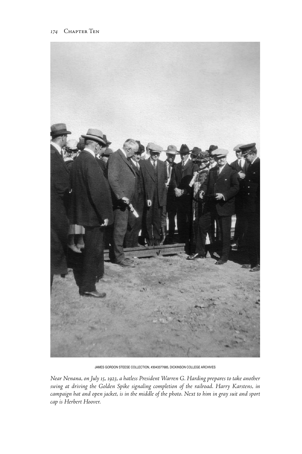

James Gordon Steese Collection, #3043377685, Dickinson College Archives

*Near Nenana, on July 15, 1923, a hatless President Warren G. Harding prepares to take another swing at driving the Golden Spike signaling completion of the railroad. Harry Karstens, in campaign hat and open jacket, is in the middle of the photo. Next to him in gray suit and sport cap is Herbert Hoover.*